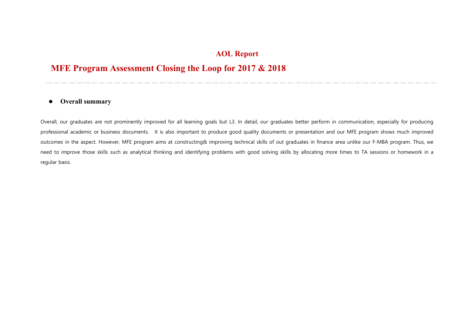## **AOL Report**

## **MFE Program Assessment Closing the Loop for 2017 & 2018**

## $\bullet$ **Overall summary**

Overall, our graduates are not prominently improved for all learning goals but L3. In detail, our graduates better perform in communication, especially for producing professional academic or business documents. It is also important to produce good quality documents or presentation and our MFE program shows much improved outcomes in the aspect. However, MFE program aims at constructing& improving technical skills of out graduates in finance area unlike our F-MBA program. Thus, we need to improve those skills such as analytical thinking and identifying problems with good solving skills by allocating more times to TA sessions or homework in a regular basis.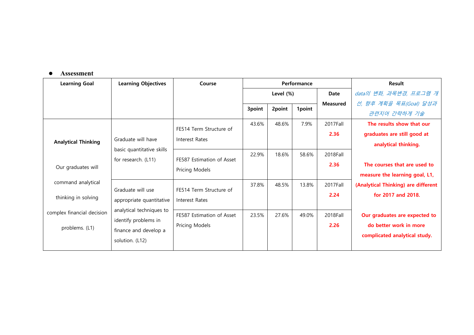## **Assessment**

| <b>Learning Goal</b>       | <b>Learning Objectives</b>                                             | Course                    | Performance |        |        | Result                 |                                     |
|----------------------------|------------------------------------------------------------------------|---------------------------|-------------|--------|--------|------------------------|-------------------------------------|
|                            |                                                                        |                           | Level (%)   |        | Date   | data의 변화, 과목변경, 프로그램 개 |                                     |
|                            |                                                                        |                           |             |        |        | <b>Measured</b>        | 선, 향후 계획을 목표(Goal) 달성과              |
|                            |                                                                        |                           | 3point      | 2point | 1point |                        | 관련지어 간략하게 기술                        |
|                            |                                                                        | FE514 Term Structure of   | 43.6%       | 48.6%  | 7.9%   | 2017Fall               | The results show that our           |
|                            | Graduate will have<br>basic quantitative skills<br>for research. (L11) | Interest Rates            |             |        |        | 2.36                   | graduates are still good at         |
| <b>Analytical Thinking</b> |                                                                        |                           |             |        |        |                        | analytical thinking.                |
|                            |                                                                        | FE587 Estimation of Asset | 22.9%       | 18.6%  | 58.6%  | 2018Fall               |                                     |
| Our graduates will         |                                                                        |                           |             |        |        | 2.36                   | The courses that are used to        |
|                            |                                                                        | Pricing Models            |             |        |        |                        | measure the learning goal, L1,      |
| command analytical         | Graduate will use                                                      | FE514 Term Structure of   | 37.8%       | 48.5%  | 13.8%  | 2017Fall               | (Analytical Thinking) are different |
| thinking in solving        |                                                                        |                           |             |        |        | 2.24                   | for 2017 and 2018.                  |
|                            | appropriate quantitative                                               | Interest Rates            |             |        |        |                        |                                     |
| complex financial decision | analytical techniques to                                               | FE587 Estimation of Asset | 23.5%       | 27.6%  | 49.0%  | 2018Fall               | Our graduates are expected to       |
| problems. (L1)             | identify problems in                                                   | Pricing Models            |             |        |        | 2.26                   | do better work in more              |
|                            | finance and develop a                                                  |                           |             |        |        |                        | complicated analytical study.       |
|                            | solution. (L12)                                                        |                           |             |        |        |                        |                                     |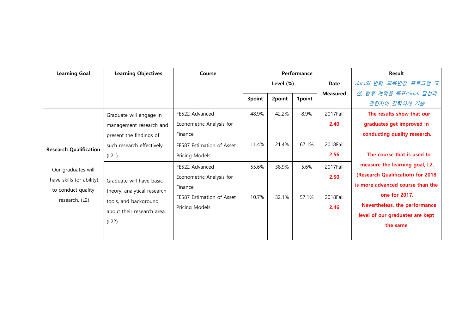| <b>Learning Goal</b>                 | <b>Learning Objectives</b>                                                       | Course                    | Performance |        |        | <b>Result</b>          |                                   |
|--------------------------------------|----------------------------------------------------------------------------------|---------------------------|-------------|--------|--------|------------------------|-----------------------------------|
|                                      |                                                                                  |                           | Level (%)   |        | Date   | data의 변화, 과목변경, 프로그램 개 |                                   |
|                                      |                                                                                  |                           |             |        |        | <b>Measured</b>        | 선, 향후 계획을 목표(Goal) 달성과            |
|                                      |                                                                                  |                           | 3point      | 2point | 1point |                        | 관련지어 간략하게 기술                      |
|                                      | Graduate will engage in                                                          | FE522 Advanced            | 48.9%       | 42.2%  | 8.9%   | 2017Fall               | The results show that our         |
|                                      | management research and<br>present the findings of<br>such research effectively. | Econometric Analysis for  |             |        |        | 2.40                   | graduates get improved in         |
| <b>Research Qualification</b>        |                                                                                  | Finance                   |             |        |        |                        | conducting quality research.      |
|                                      |                                                                                  | FE587 Estimation of Asset | 11.4%       | 21.4%  | 67.1%  | 2018Fall               | The course that is used to        |
|                                      | $(L21)$ .                                                                        | Pricing Models            |             |        |        | 2.56                   |                                   |
| Our graduates will                   |                                                                                  | FE522 Advanced            | 55.6%       | 38.9%  | 5.6%   | 2017Fall               | measure the learning goal, L2,    |
| have skills (or ability)             |                                                                                  | Econometric Analysis for  |             |        |        | 2.50                   | (Research Qualification) for 2018 |
| to conduct quality<br>research. (L2) | Graduate will have basic<br>theory, analytical research<br>tools, and background | Finance                   |             |        |        |                        | is more advanced course than the  |
|                                      |                                                                                  | FE587 Estimation of Asset | 10.7%       | 32.1%  | 57.1%  | 2018Fall               | one for 2017.                     |
|                                      |                                                                                  | Pricing Models            |             |        |        | 2.46                   | Nevertheless, the performance     |
|                                      | about their research area.                                                       |                           |             |        |        |                        | level of our graduates are kept   |
|                                      | (L22)                                                                            |                           |             |        |        |                        | the same                          |
|                                      |                                                                                  |                           |             |        |        |                        |                                   |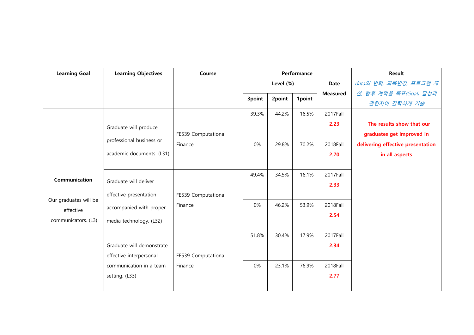| <b>Learning Goal</b>                                      | <b>Learning Objectives</b>                                                 | Course              | Performance |        |        | <b>Result</b>   |                                   |
|-----------------------------------------------------------|----------------------------------------------------------------------------|---------------------|-------------|--------|--------|-----------------|-----------------------------------|
|                                                           |                                                                            |                     | Level (%)   |        |        | Date            | data의 변화, 과목변경, 프로그램 개            |
|                                                           |                                                                            |                     |             |        |        | <b>Measured</b> | 선, 향후 계획을 목표(Goal) 달성과            |
|                                                           |                                                                            |                     | 3point      | 2point | 1point |                 | 관련지어 간략하게 기술                      |
|                                                           |                                                                            |                     | 39.3%       | 44.2%  | 16.5%  | 2017Fall        |                                   |
|                                                           | Graduate will produce                                                      |                     |             |        |        | 2.23            | The results show that our         |
|                                                           | professional business or<br>academic documents. (L31)                      | FE539 Computational |             |        |        |                 | graduates get improved in         |
|                                                           |                                                                            | Finance             | 0%          | 29.8%  | 70.2%  | 2018Fall        | delivering effective presentation |
|                                                           |                                                                            |                     |             |        |        | 2.70            | in all aspects                    |
|                                                           |                                                                            |                     |             |        |        |                 |                                   |
|                                                           |                                                                            |                     | 49.4%       | 34.5%  | 16.1%  | 2017Fall        |                                   |
| Communication                                             | Graduate will deliver<br>effective presentation<br>accompanied with proper |                     |             |        |        | 2.33            |                                   |
|                                                           |                                                                            | FE539 Computational |             |        |        |                 |                                   |
| Our graduates will be<br>effective<br>communicators. (L3) |                                                                            | Finance             | 0%          | 46.2%  | 53.9%  | 2018Fall        |                                   |
|                                                           |                                                                            |                     |             |        |        | 2.54            |                                   |
|                                                           | media technology. (L32)                                                    |                     |             |        |        |                 |                                   |
|                                                           |                                                                            |                     | 51.8%       | 30.4%  | 17.9%  | 2017Fall        |                                   |
|                                                           | Graduate will demonstrate                                                  |                     |             |        |        | 2.34            |                                   |
|                                                           | effective interpersonal<br>communication in a team                         | FE539 Computational |             |        |        |                 |                                   |
|                                                           |                                                                            | Finance             | 0%          | 23.1%  | 76.9%  | 2018Fall        |                                   |
|                                                           | setting. (L33)                                                             |                     |             |        |        | 2.77            |                                   |
|                                                           |                                                                            |                     |             |        |        |                 |                                   |